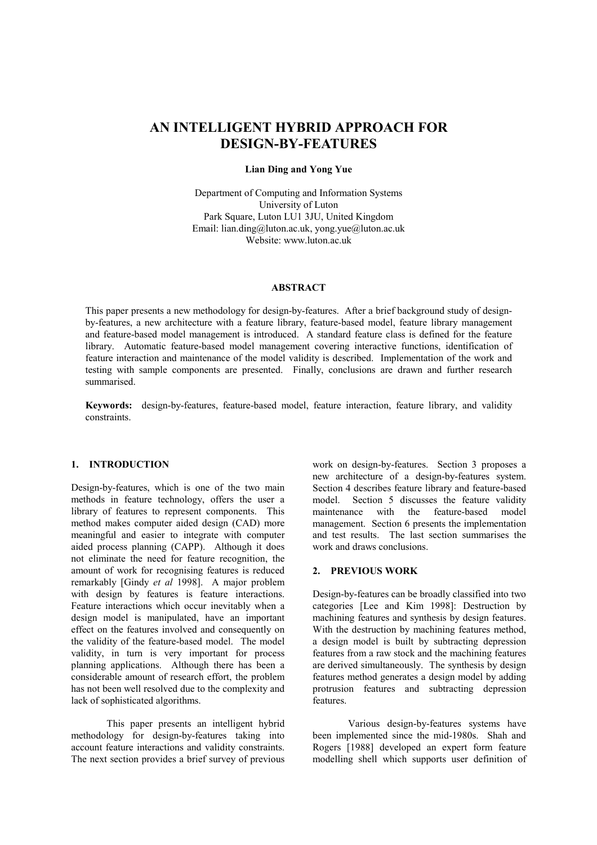# **AN INTELLIGENT HYBRID APPROACH FOR DESIGN-BY-FEATURES**

# **Lian Ding and Yong Yue**

Department of Computing and Information Systems University of Luton Park Square, Luton LU1 3JU, United Kingdom Email: lian.ding@luton.ac.uk, yong.yue@luton.ac.uk Website: www.luton.ac.uk

# **ABSTRACT**

This paper presents a new methodology for design-by-features. After a brief background study of designby-features, a new architecture with a feature library, feature-based model, feature library management and feature-based model management is introduced. A standard feature class is defined for the feature library. Automatic feature-based model management covering interactive functions, identification of feature interaction and maintenance of the model validity is described. Implementation of the work and testing with sample components are presented. Finally, conclusions are drawn and further research summarised.

**Keywords:** design-by-features, feature-based model, feature interaction, feature library, and validity constraints.

# **1. INTRODUCTION**

Design-by-features, which is one of the two main methods in feature technology, offers the user a library of features to represent components. This method makes computer aided design (CAD) more meaningful and easier to integrate with computer aided process planning (CAPP). Although it does not eliminate the need for feature recognition, the amount of work for recognising features is reduced remarkably [Gindy *et al* 1998]. A major problem with design by features is feature interactions. Feature interactions which occur inevitably when a design model is manipulated, have an important effect on the features involved and consequently on the validity of the feature-based model. The model validity, in turn is very important for process planning applications. Although there has been a considerable amount of research effort, the problem has not been well resolved due to the complexity and lack of sophisticated algorithms.

This paper presents an intelligent hybrid methodology for design-by-features taking into account feature interactions and validity constraints. The next section provides a brief survey of previous work on design-by-features. Section 3 proposes a new architecture of a design-by-features system. Section 4 describes feature library and feature-based model. Section 5 discusses the feature validity maintenance with the feature-based model management. Section 6 presents the implementation and test results. The last section summarises the work and draws conclusions.

# **2. PREVIOUS WORK**

Design-by-features can be broadly classified into two categories [Lee and Kim 1998]: Destruction by machining features and synthesis by design features. With the destruction by machining features method, a design model is built by subtracting depression features from a raw stock and the machining features are derived simultaneously. The synthesis by design features method generates a design model by adding protrusion features and subtracting depression features.

Various design-by-features systems have been implemented since the mid-1980s. Shah and Rogers [1988] developed an expert form feature modelling shell which supports user definition of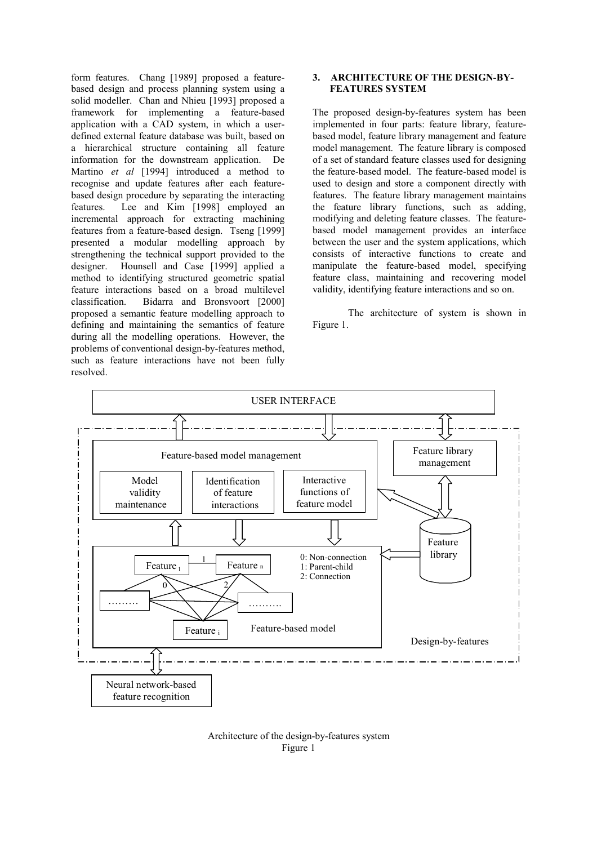form features. Chang [1989] proposed a featurebased design and process planning system using a solid modeller. Chan and Nhieu [1993] proposed a framework for implementing a feature-based application with a CAD system, in which a userdefined external feature database was built, based on a hierarchical structure containing all feature information for the downstream application. De Martino *et al* [1994] introduced a method to recognise and update features after each featurebased design procedure by separating the interacting features. Lee and Kim [1998] employed an incremental approach for extracting machining features from a feature-based design. Tseng [1999] presented a modular modelling approach by strengthening the technical support provided to the designer. Hounsell and Case [1999] applied a method to identifying structured geometric spatial feature interactions based on a broad multilevel classification. Bidarra and Bronsvoort [2000] proposed a semantic feature modelling approach to defining and maintaining the semantics of feature during all the modelling operations. However, the problems of conventional design-by-features method, such as feature interactions have not been fully resolved.

# **3. ARCHITECTURE OF THE DESIGN-BY-FEATURES SYSTEM**

The proposed design-by-features system has been implemented in four parts: feature library, featurebased model, feature library management and feature model management. The feature library is composed of a set of standard feature classes used for designing the feature-based model. The feature-based model is used to design and store a component directly with features. The feature library management maintains the feature library functions, such as adding, modifying and deleting feature classes. The featurebased model management provides an interface between the user and the system applications, which consists of interactive functions to create and manipulate the feature-based model, specifying feature class, maintaining and recovering model validity, identifying feature interactions and so on.

The architecture of system is shown in Figure 1.



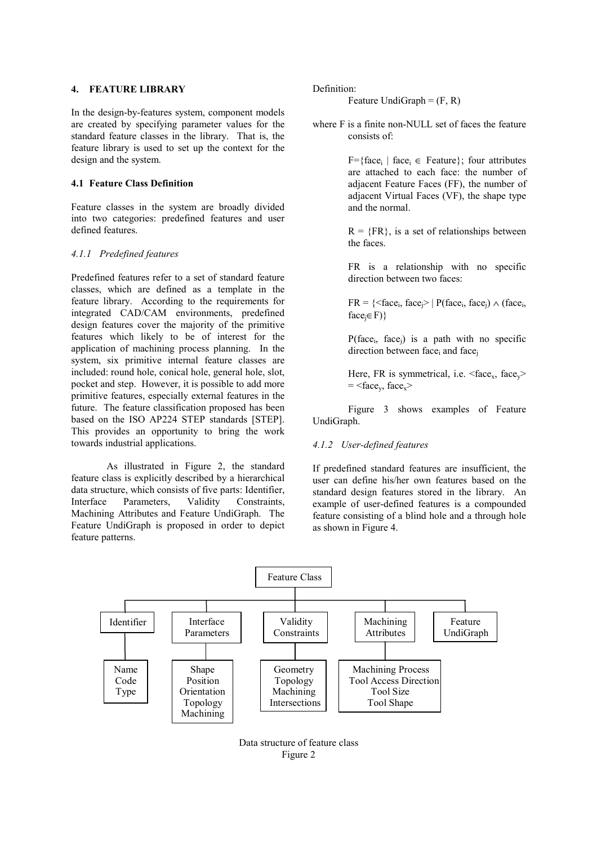#### **4. FEATURE LIBRARY**

In the design-by-features system, component models are created by specifying parameter values for the standard feature classes in the library. That is, the feature library is used to set up the context for the design and the system.

# **4.1 Feature Class Definition**

Feature classes in the system are broadly divided into two categories: predefined features and user defined features.

#### *4.1.1 Predefined features*

Predefined features refer to a set of standard feature classes, which are defined as a template in the feature library. According to the requirements for integrated CAD/CAM environments, predefined design features cover the majority of the primitive features which likely to be of interest for the application of machining process planning. In the system, six primitive internal feature classes are included: round hole, conical hole, general hole, slot, pocket and step. However, it is possible to add more primitive features, especially external features in the future. The feature classification proposed has been based on the ISO AP224 STEP standards [STEP]. This provides an opportunity to bring the work towards industrial applications.

As illustrated in Figure 2, the standard feature class is explicitly described by a hierarchical data structure, which consists of five parts: Identifier, Interface Parameters, Validity Constraints Machining Attributes and Feature UndiGraph. The Feature UndiGraph is proposed in order to depict feature patterns.

Definition:

Feature UndiGraph  $=$   $(F, R)$ 

where F is a finite non-NULL set of faces the feature consists of:

> $F=\{face_i \mid face_i \in Feature\};$  four attributes are attached to each face: the number of adjacent Feature Faces (FF), the number of adjacent Virtual Faces (VF), the shape type and the normal.

> $R = {FR}$ , is a set of relationships between the faces.

> FR is a relationship with no specific direction between two faces:

> $FR = \{ \langle face_i, face_i \rangle \mid P(face_i, face_i) \wedge (face_i,$  $face_i \in F)$ }

> $P(face_i, face_j)$  is a path with no specific direction between face<sub>i</sub> and face<sub>i</sub>

> Here, FR is symmetrical, i.e.  $\langle$ face<sub>x</sub>, face<sub>y</sub>>  $=$  <face<sub>y</sub>, face<sub>x</sub>>

Figure 3 shows examples of Feature UndiGraph.

# *4.1.2 User-defined features*

If predefined standard features are insufficient, the user can define his/her own features based on the standard design features stored in the library. An example of user-defined features is a compounded feature consisting of a blind hole and a through hole as shown in Figure 4.



Data structure of feature class Figure 2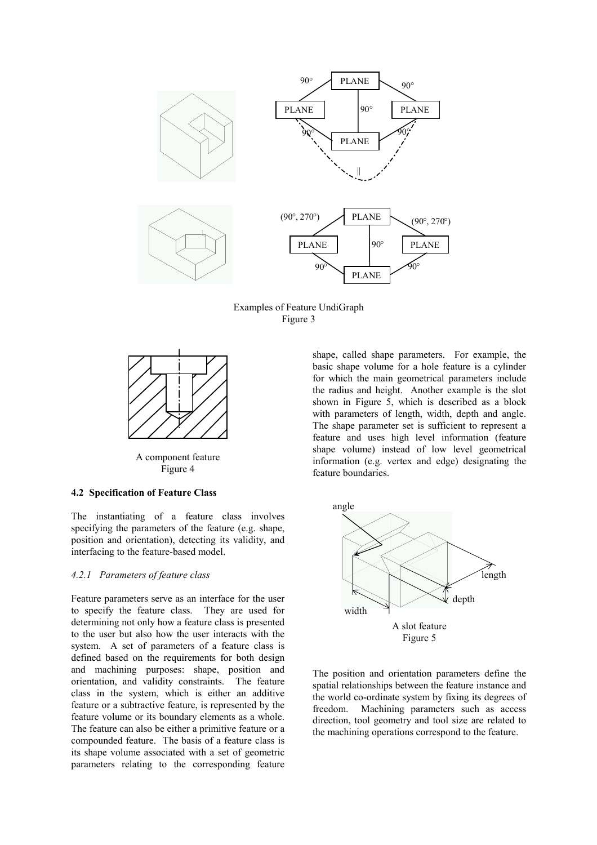

Examples of Feature UndiGraph Figure 3



A component feature Figure 4

### **4.2 Specification of Feature Class**

The instantiating of a feature class involves specifying the parameters of the feature (e.g. shape, position and orientation), detecting its validity, and interfacing to the feature-based model.

# *4.2.1 Parameters of feature class*

Feature parameters serve as an interface for the user to specify the feature class. They are used for determining not only how a feature class is presented to the user but also how the user interacts with the system. A set of parameters of a feature class is defined based on the requirements for both design and machining purposes: shape, position and orientation, and validity constraints. The feature class in the system, which is either an additive feature or a subtractive feature, is represented by the feature volume or its boundary elements as a whole. The feature can also be either a primitive feature or a compounded feature. The basis of a feature class is its shape volume associated with a set of geometric parameters relating to the corresponding feature

shape, called shape parameters. For example, the basic shape volume for a hole feature is a cylinder for which the main geometrical parameters include the radius and height. Another example is the slot shown in Figure 5, which is described as a block with parameters of length, width, depth and angle. The shape parameter set is sufficient to represent a feature and uses high level information (feature shape volume) instead of low level geometrical information (e.g. vertex and edge) designating the feature boundaries.



The position and orientation parameters define the spatial relationships between the feature instance and the world co-ordinate system by fixing its degrees of freedom. Machining parameters such as access direction, tool geometry and tool size are related to the machining operations correspond to the feature.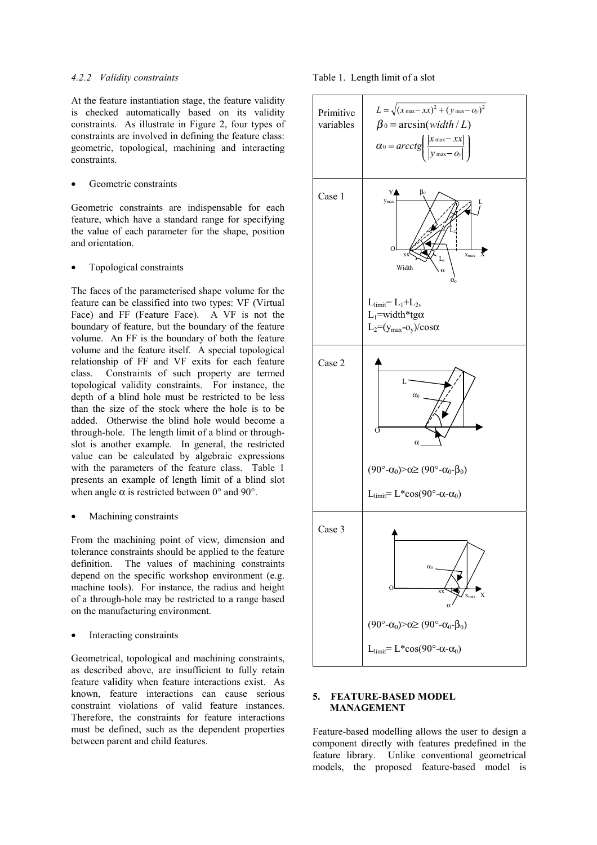#### *4.2.2 Validity constraints*

At the feature instantiation stage, the feature validity is checked automatically based on its validity constraints. As illustrate in Figure 2, four types of constraints are involved in defining the feature class: geometric, topological, machining and interacting constraints.

Geometric constraints

Geometric constraints are indispensable for each feature, which have a standard range for specifying the value of each parameter for the shape, position and orientation.

• Topological constraints

The faces of the parameterised shape volume for the feature can be classified into two types: VF (Virtual Face) and FF (Feature Face). A VF is not the boundary of feature, but the boundary of the feature volume. An FF is the boundary of both the feature volume and the feature itself. A special topological relationship of FF and VF exits for each feature class. Constraints of such property are termed topological validity constraints. For instance, the depth of a blind hole must be restricted to be less than the size of the stock where the hole is to be added. Otherwise the blind hole would become a through-hole. The length limit of a blind or throughslot is another example. In general, the restricted value can be calculated by algebraic expressions with the parameters of the feature class. Table 1 presents an example of length limit of a blind slot when angle  $\alpha$  is restricted between 0° and 90°.

Machining constraints

From the machining point of view, dimension and tolerance constraints should be applied to the feature definition. The values of machining constraints depend on the specific workshop environment (e.g. machine tools). For instance, the radius and height of a through-hole may be restricted to a range based on the manufacturing environment.

Interacting constraints

Geometrical, topological and machining constraints, as described above, are insufficient to fully retain feature validity when feature interactions exist. As known, feature interactions can cause serious constraint violations of valid feature instances. Therefore, the constraints for feature interactions must be defined, such as the dependent properties between parent and child features.





# **5. FEATURE-BASED MODEL MANAGEMENT**

Feature-based modelling allows the user to design a component directly with features predefined in the feature library. Unlike conventional geometrical models, the proposed feature-based model is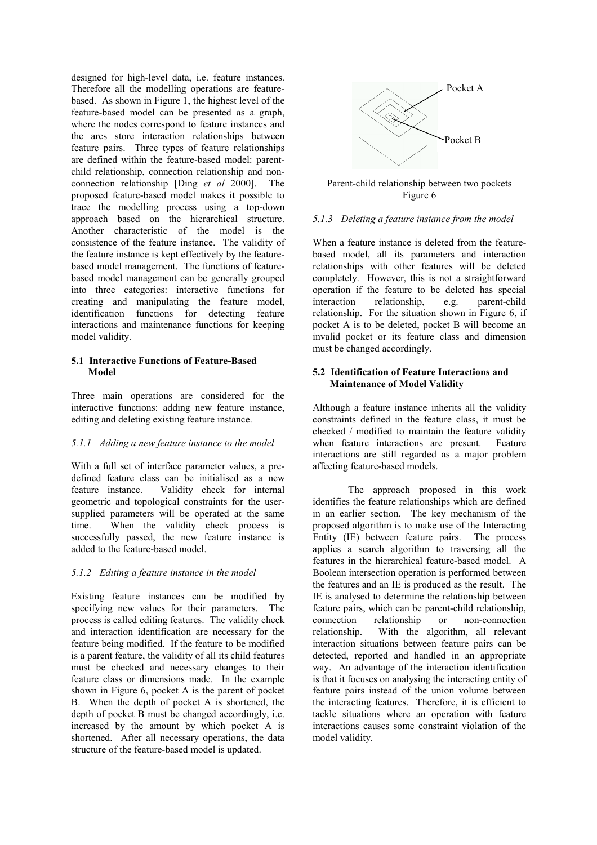designed for high-level data, i.e. feature instances. Therefore all the modelling operations are featurebased. As shown in Figure 1, the highest level of the feature-based model can be presented as a graph, where the nodes correspond to feature instances and the arcs store interaction relationships between feature pairs. Three types of feature relationships are defined within the feature-based model: parentchild relationship, connection relationship and nonconnection relationship [Ding *et al* 2000]. The proposed feature-based model makes it possible to trace the modelling process using a top-down approach based on the hierarchical structure. Another characteristic of the model is the consistence of the feature instance. The validity of the feature instance is kept effectively by the featurebased model management. The functions of featurebased model management can be generally grouped into three categories: interactive functions for creating and manipulating the feature model, identification functions for detecting feature interactions and maintenance functions for keeping model validity.

#### **5.1 Interactive Functions of Feature-Based Model**

Three main operations are considered for the interactive functions: adding new feature instance, editing and deleting existing feature instance.

# *5.1.1 Adding a new feature instance to the model*

With a full set of interface parameter values, a predefined feature class can be initialised as a new feature instance. Validity check for internal geometric and topological constraints for the usersupplied parameters will be operated at the same time. When the validity check process is successfully passed, the new feature instance is added to the feature-based model.

# *5.1.2 Editing a feature instance in the model*

Existing feature instances can be modified by specifying new values for their parameters. The process is called editing features. The validity check and interaction identification are necessary for the feature being modified. If the feature to be modified is a parent feature, the validity of all its child features must be checked and necessary changes to their feature class or dimensions made. In the example shown in Figure 6, pocket A is the parent of pocket B. When the depth of pocket A is shortened, the depth of pocket B must be changed accordingly, i.e. increased by the amount by which pocket A is shortened. After all necessary operations, the data structure of the feature-based model is updated.



Parent-child relationship between two pockets Figure 6

# *5.1.3 Deleting a feature instance from the model*

When a feature instance is deleted from the featurebased model, all its parameters and interaction relationships with other features will be deleted completely. However, this is not a straightforward operation if the feature to be deleted has special interaction relationship, e.g. parent-child relationship. For the situation shown in Figure 6, if pocket A is to be deleted, pocket B will become an invalid pocket or its feature class and dimension must be changed accordingly.

# **5.2 Identification of Feature Interactions and Maintenance of Model Validity**

Although a feature instance inherits all the validity constraints defined in the feature class, it must be checked / modified to maintain the feature validity when feature interactions are present. Feature interactions are still regarded as a major problem affecting feature-based models.

The approach proposed in this work identifies the feature relationships which are defined in an earlier section. The key mechanism of the proposed algorithm is to make use of the Interacting Entity (IE) between feature pairs. The process applies a search algorithm to traversing all the features in the hierarchical feature-based model. A Boolean intersection operation is performed between the features and an IE is produced as the result. The IE is analysed to determine the relationship between feature pairs, which can be parent-child relationship, connection relationship or non-connection relationship. With the algorithm, all relevant interaction situations between feature pairs can be detected, reported and handled in an appropriate way. An advantage of the interaction identification is that it focuses on analysing the interacting entity of feature pairs instead of the union volume between the interacting features. Therefore, it is efficient to tackle situations where an operation with feature interactions causes some constraint violation of the model validity.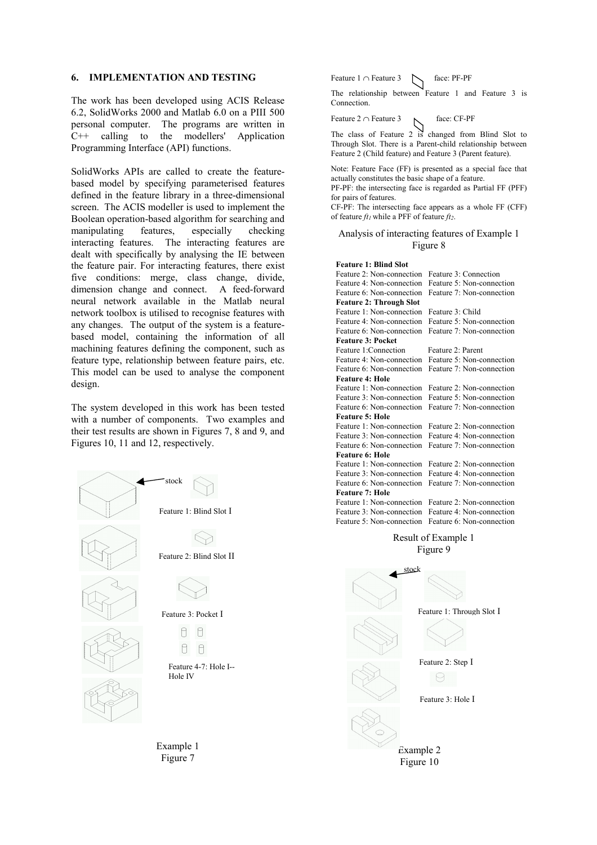#### **6. IMPLEMENTATION AND TESTING**

The work has been developed using ACIS Release 6.2, SolidWorks 2000 and Matlab 6.0 on a PIII 500 personal computer. The programs are written in C++ calling to the modellers' Application Programming Interface (API) functions.

SolidWorks APIs are called to create the featurebased model by specifying parameterised features defined in the feature library in a three-dimensional screen. The ACIS modeller is used to implement the Boolean operation-based algorithm for searching and manipulating features, especially checking interacting features. The interacting features are dealt with specifically by analysing the IE between the feature pair. For interacting features, there exist five conditions: merge, class change, divide, dimension change and connect. A feed-forward neural network available in the Matlab neural network toolbox is utilised to recognise features with any changes. The output of the system is a featurebased model, containing the information of all machining features defining the component, such as feature type, relationship between feature pairs, etc. This model can be used to analyse the component design.

The system developed in this work has been tested with a number of components. Two examples and their test results are shown in Figures 7, 8 and 9, and Figures 10, 11 and 12, respectively.



Feature  $1 \cap$  Feature  $3 \quad \sim$  face: PF-PF

The relationship between Feature 1 and Feature 3 is Connection.

Feature 2 ∩ Feature 3 face: CF-PF

The class of Feature 2 is changed from Blind Slot to Through Slot. There is a Parent-child relationship between Feature 2 (Child feature) and Feature 3 (Parent feature).

Note: Feature Face (FF) is presented as a special face that actually constitutes the basic shape of a feature.

PF-PF: the intersecting face is regarded as Partial FF (PFF) for pairs of features.

CF-PF: The intersecting face appears as a whole FF (CFF) of feature  $ft_1$  while a PFF of feature  $ft_2$ .

#### Analysis of interacting features of Example 1 Figure 8

#### **Feature 1: Blind Slot**

| Feature 2: Non-connection      | Feature 3: Connection     |
|--------------------------------|---------------------------|
| Feature 4: Non-connection      | Feature 5: Non-connection |
| Feature 6: Non-connection      | Feature 7: Non-connection |
| <b>Feature 2: Through Slot</b> |                           |
| Feature 1: Non-connection      | Feature 3: Child          |
| Feature 4: Non-connection      | Feature 5: Non-connection |
| Feature 6: Non-connection      | Feature 7: Non-connection |
| <b>Feature 3: Pocket</b>       |                           |
| Feature 1: Connection          | Feature 2: Parent         |
| Feature 4: Non-connection      | Feature 5: Non-connection |
| Feature 6: Non-connection      | Feature 7: Non-connection |
| <b>Feature 4: Hole</b>         |                           |
| Feature 1: Non-connection      | Feature 2: Non-connection |
| Feature 3: Non-connection      | Feature 5: Non-connection |
| Feature 6: Non-connection      | Feature 7: Non-connection |
| <b>Feature 5: Hole</b>         |                           |
| Feature 1: Non-connection      | Feature 2: Non-connection |
| Feature 3: Non-connection      | Feature 4: Non-connection |
| Feature 6: Non-connection      | Feature 7: Non-connection |
| <b>Feature 6: Hole</b>         |                           |
| Feature 1: Non-connection      | Feature 2: Non-connection |
| Feature 3: Non-connection      | Feature 4: Non-connection |
| Feature 6: Non-connection      | Feature 7: Non-connection |
| <b>Feature 7: Hole</b>         |                           |
| Feature 1: Non-connection      | Feature 2: Non-connection |
| Feature 3: Non-connection      | Feature 4: Non-connection |
| Feature 5: Non-connection      | Feature 6: Non-connection |
|                                |                           |

# Result of Example 1 Figure 9